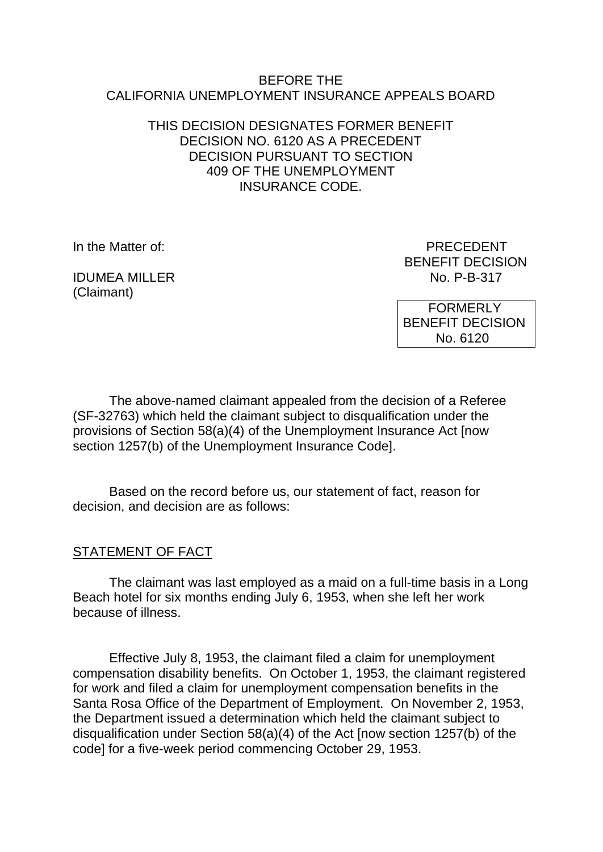#### BEFORE THE CALIFORNIA UNEMPLOYMENT INSURANCE APPEALS BOARD

### THIS DECISION DESIGNATES FORMER BENEFIT DECISION NO. 6120 AS A PRECEDENT DECISION PURSUANT TO SECTION 409 OF THE UNEMPLOYMENT INSURANCE CODE.

**IDUMEA MILLER** (Claimant)

In the Matter of: PRECEDENT BENEFIT DECISION<br>No. P-B-317

> FORMERLY BENEFIT DECISION No. 6120

The above-named claimant appealed from the decision of a Referee (SF-32763) which held the claimant subject to disqualification under the provisions of Section 58(a)(4) of the Unemployment Insurance Act [now section 1257(b) of the Unemployment Insurance Code].

Based on the record before us, our statement of fact, reason for decision, and decision are as follows:

### STATEMENT OF FACT

The claimant was last employed as a maid on a full-time basis in a Long Beach hotel for six months ending July 6, 1953, when she left her work because of illness.

Effective July 8, 1953, the claimant filed a claim for unemployment compensation disability benefits. On October 1, 1953, the claimant registered for work and filed a claim for unemployment compensation benefits in the Santa Rosa Office of the Department of Employment. On November 2, 1953, the Department issued a determination which held the claimant subject to disqualification under Section 58(a)(4) of the Act [now section 1257(b) of the code] for a five-week period commencing October 29, 1953.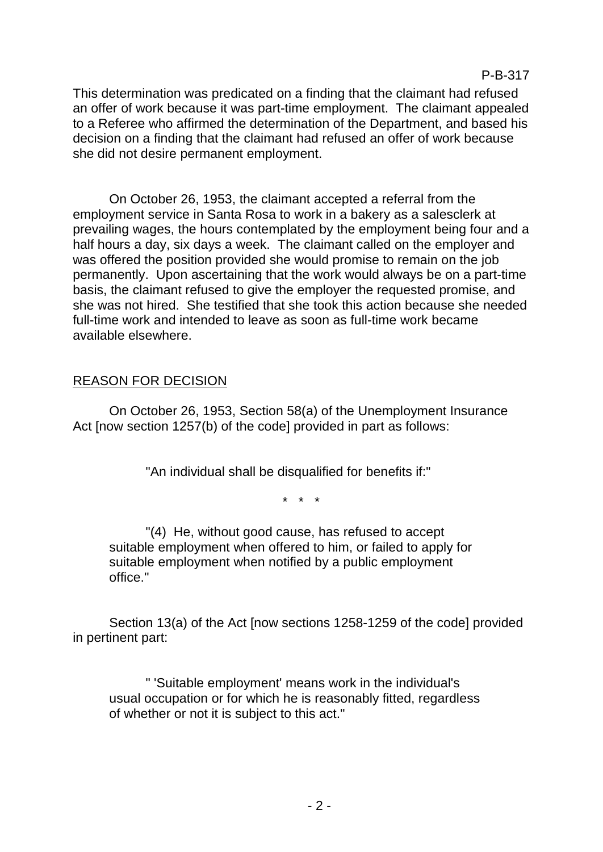This determination was predicated on a finding that the claimant had refused an offer of work because it was part-time employment. The claimant appealed to a Referee who affirmed the determination of the Department, and based his decision on a finding that the claimant had refused an offer of work because she did not desire permanent employment.

On October 26, 1953, the claimant accepted a referral from the employment service in Santa Rosa to work in a bakery as a salesclerk at prevailing wages, the hours contemplated by the employment being four and a half hours a day, six days a week. The claimant called on the employer and was offered the position provided she would promise to remain on the job permanently. Upon ascertaining that the work would always be on a part-time basis, the claimant refused to give the employer the requested promise, and she was not hired. She testified that she took this action because she needed full-time work and intended to leave as soon as full-time work became available elsewhere.

# REASON FOR DECISION

On October 26, 1953, Section 58(a) of the Unemployment Insurance Act [now section 1257(b) of the code] provided in part as follows:

"An individual shall be disqualified for benefits if:"

\* \* \*

"(4) He, without good cause, has refused to accept suitable employment when offered to him, or failed to apply for suitable employment when notified by a public employment office."

Section 13(a) of the Act [now sections 1258-1259 of the code] provided in pertinent part:

" 'Suitable employment' means work in the individual's usual occupation or for which he is reasonably fitted, regardless of whether or not it is subject to this act."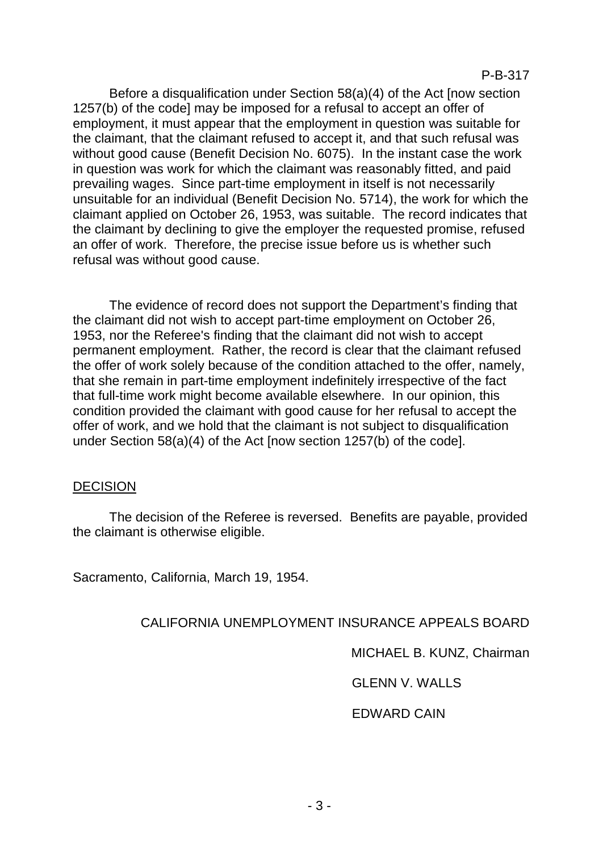Before a disqualification under Section 58(a)(4) of the Act [now section 1257(b) of the code] may be imposed for a refusal to accept an offer of employment, it must appear that the employment in question was suitable for the claimant, that the claimant refused to accept it, and that such refusal was without good cause (Benefit Decision No. 6075). In the instant case the work in question was work for which the claimant was reasonably fitted, and paid prevailing wages. Since part-time employment in itself is not necessarily unsuitable for an individual (Benefit Decision No. 5714), the work for which the claimant applied on October 26, 1953, was suitable. The record indicates that the claimant by declining to give the employer the requested promise, refused an offer of work. Therefore, the precise issue before us is whether such refusal was without good cause.

The evidence of record does not support the Department's finding that the claimant did not wish to accept part-time employment on October 26, 1953, nor the Referee's finding that the claimant did not wish to accept permanent employment. Rather, the record is clear that the claimant refused the offer of work solely because of the condition attached to the offer, namely, that she remain in part-time employment indefinitely irrespective of the fact that full-time work might become available elsewhere. In our opinion, this condition provided the claimant with good cause for her refusal to accept the offer of work, and we hold that the claimant is not subject to disqualification under Section 58(a)(4) of the Act [now section 1257(b) of the code].

#### DECISION

The decision of the Referee is reversed. Benefits are payable, provided the claimant is otherwise eligible.

Sacramento, California, March 19, 1954.

CALIFORNIA UNEMPLOYMENT INSURANCE APPEALS BOARD

MICHAEL B. KUNZ, Chairman

GLENN V. WALLS

EDWARD CAIN